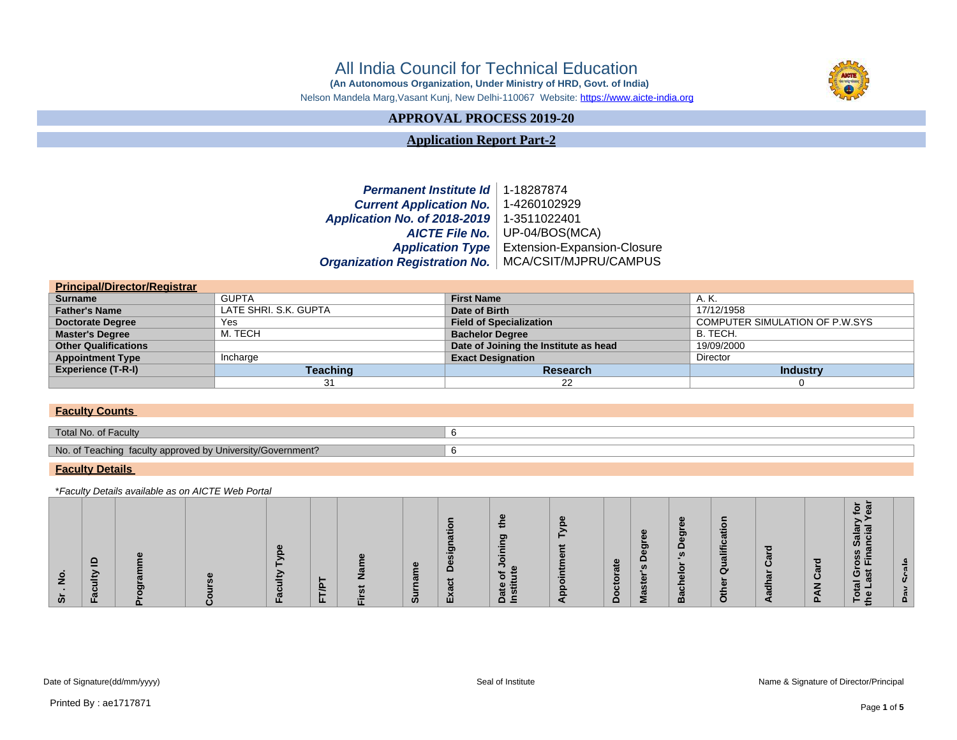# All India Council for Technical Education

 **(An Autonomous Organization, Under Ministry of HRD, Govt. of India)**

Nelson Mandela Marg,Vasant Kunj, New Delhi-110067 Website: https://www.aicte-india.org

## **APPROVAL PROCESS 2019-20**

**Application Report Part-2**

### **Permanent Institute Id** 1-18287874 **Current Application No.** 1-4260102929 **Application No. of 2018-2019** 1-3511022401 **AICTE File No.** UP-04/BOS(MCA) **Application Type** Extension-Expansion-Closure **Organization Registration No.** MCA/CSIT/MJPRU/CAMPUS

| <b>Principal/Director/Registrar</b> |                       |                                       |                                |  |  |  |  |  |  |  |
|-------------------------------------|-----------------------|---------------------------------------|--------------------------------|--|--|--|--|--|--|--|
| <b>Surname</b>                      | <b>GUPTA</b>          | <b>First Name</b>                     | A. K.                          |  |  |  |  |  |  |  |
| <b>Father's Name</b>                | LATE SHRI, S.K. GUPTA | Date of Birth                         | 17/12/1958                     |  |  |  |  |  |  |  |
| <b>Doctorate Degree</b>             | Yes                   | <b>Field of Specialization</b>        | COMPUTER SIMULATION OF P.W.SYS |  |  |  |  |  |  |  |
| <b>Master's Degree</b>              | M. TECH               | <b>Bachelor Degree</b>                | B. TECH.                       |  |  |  |  |  |  |  |
| <b>Other Qualifications</b>         |                       | Date of Joining the Institute as head | 19/09/2000                     |  |  |  |  |  |  |  |
| <b>Appointment Type</b>             | Incharge              | <b>Exact Designation</b>              | <b>Director</b>                |  |  |  |  |  |  |  |
| <b>Experience (T-R-I)</b>           | Teaching              | <b>Research</b>                       | <b>Industry</b>                |  |  |  |  |  |  |  |
|                                     | 31                    | 22                                    |                                |  |  |  |  |  |  |  |

#### **Faculty Counts**

| Total No. of Faculty                                            |  |
|-----------------------------------------------------------------|--|
| No. of Teaching faculty approved by<br>/ University/Government? |  |

#### **Faculty Details**

\*Faculty Details available as on AICTE Web Portal

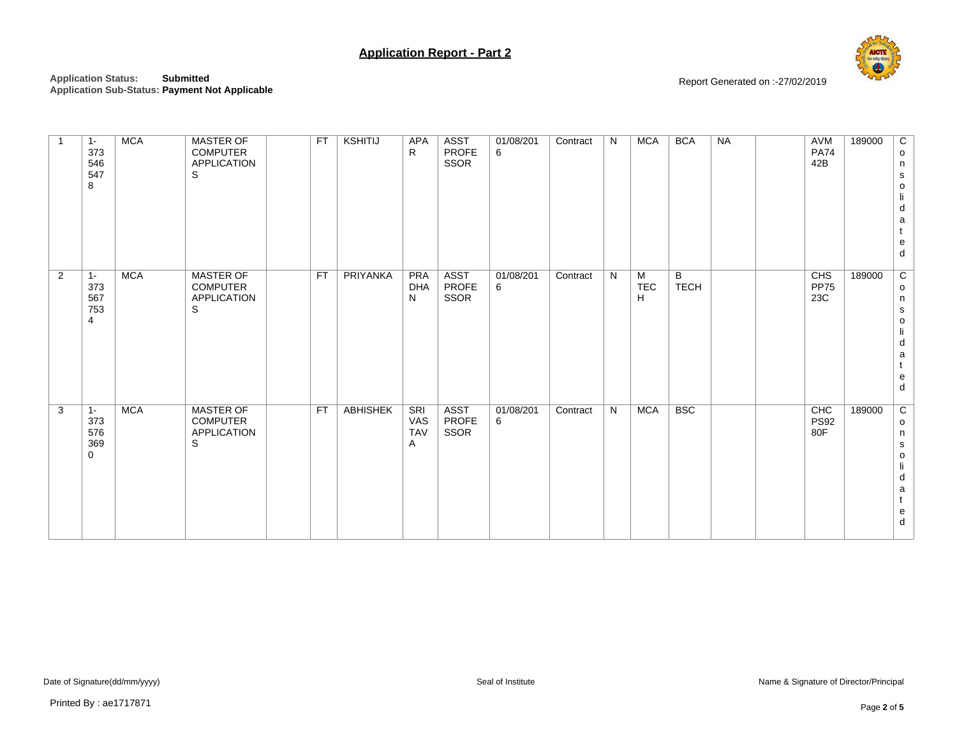

**Application Status: Submitted Application Sub-Status: Payment Not Applicable** Report Generated on :-27/02/2019

| $\mathbf{1}$   | $1 -$<br>373<br>546<br>547<br>8 | <b>MCA</b> | MASTER OF<br><b>COMPUTER</b><br><b>APPLICATION</b><br>S        | <b>FT</b> | KSHITIJ         | APA<br>R                             | <b>ASST</b><br><b>PROFE</b><br>SSOR | 01/08/201<br>6 | Contract | N | <b>MCA</b>    | <b>BCA</b>       | <b>NA</b> | <b>AVM</b><br><b>PA74</b><br>42B | 189000 | C<br>$\mathsf{o}$<br>n<br>$\mathbf S$<br>$\mathsf{o}\,$<br>li<br>d<br>$\mathsf a$<br>t<br>${\bf e}$<br>${\sf d}$                                        |
|----------------|---------------------------------|------------|----------------------------------------------------------------|-----------|-----------------|--------------------------------------|-------------------------------------|----------------|----------|---|---------------|------------------|-----------|----------------------------------|--------|---------------------------------------------------------------------------------------------------------------------------------------------------------|
| $\overline{2}$ | $1 -$<br>373<br>567<br>753<br>4 | <b>MCA</b> | MASTER OF<br><b>COMPUTER</b><br><b>APPLICATION</b><br>S        | <b>FT</b> | PRIYANKA        | <b>PRA</b><br><b>DHA</b><br>N        | <b>ASST</b><br>PROFE<br>SSOR        | 01/08/201<br>6 | Contract | N | M<br>TEC<br>H | B<br><b>TECH</b> |           | CHS<br><b>PP75</b><br>23C        | 189000 | $\overline{c}$<br>$\mathsf{o}\,$<br>n<br>$\mathbf S$<br>$\circ$<br>li<br>${\sf d}$<br>a<br>t<br>$\mathsf{e}% _{0}\left( \mathsf{e}\right)$<br>${\sf d}$ |
| $\mathbf{3}$   | $1 -$<br>373<br>576<br>369<br>0 | <b>MCA</b> | <b>MASTER OF</b><br><b>COMPUTER</b><br><b>APPLICATION</b><br>S | <b>FT</b> | <b>ABHISHEK</b> | <b>SRI</b><br>VAS<br><b>TAV</b><br>Α | <b>ASST</b><br><b>PROFE</b><br>SSOR | 01/08/201<br>6 | Contract | N | <b>MCA</b>    | <b>BSC</b>       |           | CHC<br><b>PS92</b><br>80F        | 189000 | $\overline{c}$<br>$\mathsf{o}$<br>n<br>$\mathbf s$<br>$\mathsf{o}$<br>li<br>${\sf d}$<br>a<br>t<br>${\bf e}$<br>${\sf d}$                               |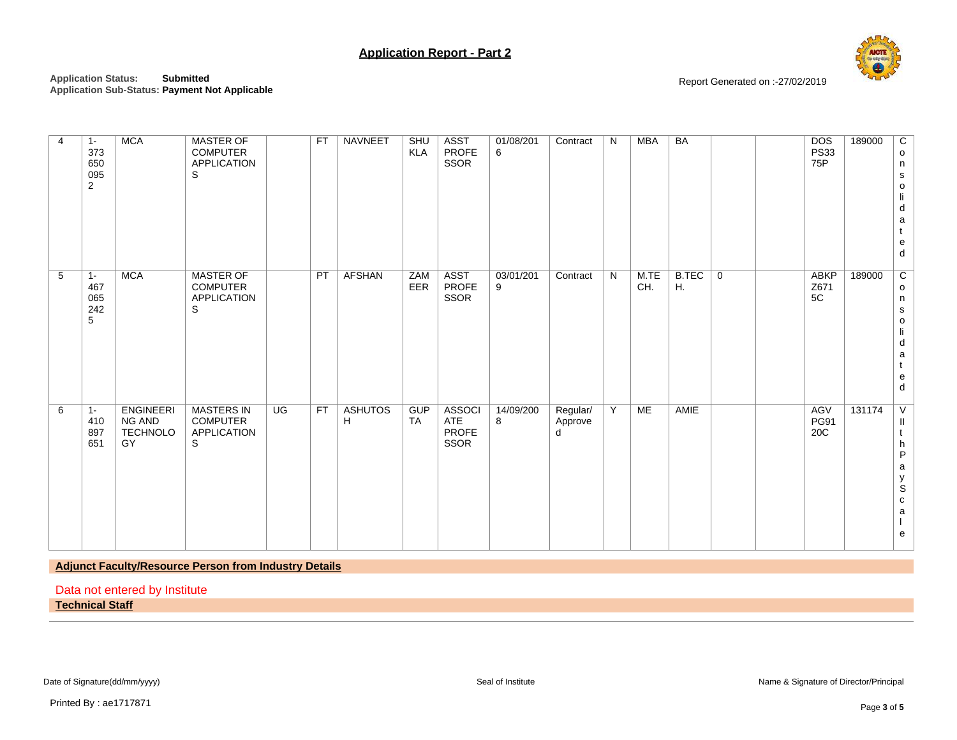

**Application Status: Submitted Application Sub-Status: Payment Not Applicable**

Report Generated on :-27/02/2019

| $1 -$<br>373<br>650<br>095<br>2<br>$1 -$<br>467<br>065<br>242<br>5 | <b>MCA</b><br><b>MCA</b>                      | <b>MASTER OF</b><br><b>COMPUTER</b><br><b>APPLICATION</b><br>S<br><b>MASTER OF</b><br><b>COMPUTER</b><br><b>APPLICATION</b><br>S | <b>FT</b><br>PT | NAVNEET<br><b>AFSHAN</b> | SHU<br><b>KLA</b><br>ZAM<br>EER | <b>ASST</b><br><b>PROFE</b><br>SSOR<br><b>ASST</b><br><b>PROFE</b><br>SSOR | 01/08/201<br>6<br>03/01/201<br>9 | Contract<br>Contract     | N<br>N | MBA<br>M.TE<br>CH. | <b>BA</b><br>B.TEC<br>H. | $\mathbf 0$ | <b>DOS</b><br><b>PS33</b><br>75P<br><b>ABKP</b><br>Z671<br>5C | 189000<br>189000 | C<br>$\mathsf{o}$<br>n<br>$\mathbf s$<br>o<br>li<br>d<br>$\mathsf a$<br>${\bf e}$<br>${\sf d}$<br>$\overline{c}$<br>$\circ$<br>n<br>$\mathbf s$<br>$\mathsf{o}$ |
|--------------------------------------------------------------------|-----------------------------------------------|----------------------------------------------------------------------------------------------------------------------------------|-----------------|--------------------------|---------------------------------|----------------------------------------------------------------------------|----------------------------------|--------------------------|--------|--------------------|--------------------------|-------------|---------------------------------------------------------------|------------------|-----------------------------------------------------------------------------------------------------------------------------------------------------------------|
|                                                                    |                                               |                                                                                                                                  |                 |                          |                                 |                                                                            |                                  |                          |        |                    |                          |             |                                                               |                  | li<br>d<br>a<br>e<br>d                                                                                                                                          |
| $1 -$<br>410<br>897<br>651<br>GY                                   | <b>ENGINEERI</b><br>NG AND<br><b>TECHNOLO</b> | <b>MASTERS IN</b><br><b>COMPUTER</b><br><b>APPLICATION</b><br>S                                                                  | UG<br><b>FT</b> | <b>ASHUTOS</b><br>H      | <b>GUP</b><br><b>TA</b>         | <b>ASSOCI</b><br>ATE<br><b>PROFE</b><br>SSOR                               | 14/09/200<br>8                   | Regular/<br>Approve<br>d | Y      | ME                 | AMIE                     |             | AGV<br><b>PG91</b><br>20C                                     | 131174           | $\vee$<br>Ш<br>h<br>$\sf P$<br>$\mathsf a$<br>y<br>S<br>${\bf c}$<br>$\mathsf a$<br>е                                                                           |

**Adjunct Faculty/Resource Person from Industry Details**

Data not entered by Institute

**Technical Staff**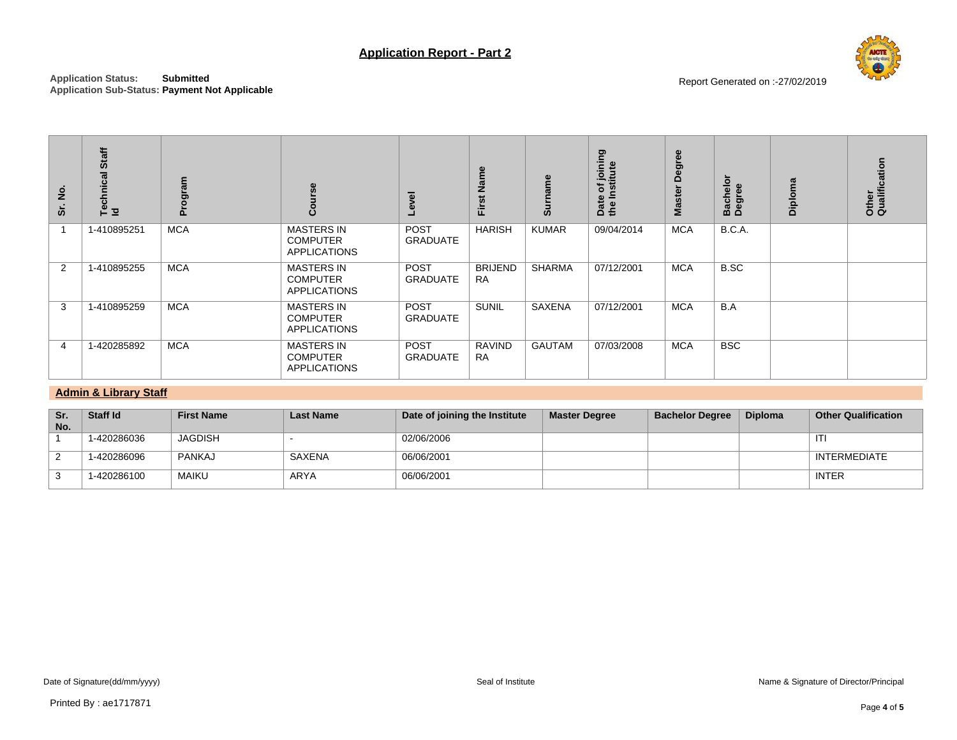

| Sr. No.        | Technical Staff<br>Id                                                   | Program           | Course                                                      | Level                         | First Name                  | <b>Surname</b>       | Date of joining<br>the Institute | Master Degree          | Bachelor<br>Degree | Diploma        |                            | Other<br>Qualification |  |
|----------------|-------------------------------------------------------------------------|-------------------|-------------------------------------------------------------|-------------------------------|-----------------------------|----------------------|----------------------------------|------------------------|--------------------|----------------|----------------------------|------------------------|--|
| $\mathbf{1}$   | 1-410895251                                                             | <b>MCA</b>        | <b>MASTERS IN</b><br><b>COMPUTER</b><br><b>APPLICATIONS</b> | POST<br><b>GRADUATE</b>       | <b>HARISH</b>               | <b>KUMAR</b>         | 09/04/2014                       | <b>MCA</b>             | <b>B.C.A.</b>      |                |                            |                        |  |
| $\overline{2}$ | 1-410895255                                                             | <b>MCA</b>        | <b>MASTERS IN</b><br><b>COMPUTER</b><br><b>APPLICATIONS</b> | POST<br><b>GRADUATE</b>       | <b>BRIJEND</b><br><b>RA</b> | <b>SHARMA</b>        | 07/12/2001                       | <b>MCA</b>             | B.SC               |                |                            |                        |  |
| 3              | 1-410895259                                                             | <b>MCA</b>        | <b>MASTERS IN</b><br><b>COMPUTER</b><br><b>APPLICATIONS</b> | POST<br><b>GRADUATE</b>       | <b>SUNIL</b>                | SAXENA               | 07/12/2001                       | <b>MCA</b>             | B.A                |                |                            |                        |  |
| 4              | 1-420285892                                                             | <b>MCA</b>        | <b>MASTERS IN</b><br><b>COMPUTER</b><br><b>APPLICATIONS</b> | POST<br><b>GRADUATE</b>       | <b>RAVIND</b><br><b>RA</b>  | <b>GAUTAM</b>        | 07/03/2008                       | <b>MCA</b>             | <b>BSC</b>         |                |                            |                        |  |
|                | <b>Admin &amp; Library Staff</b>                                        |                   |                                                             |                               |                             |                      |                                  |                        |                    |                |                            |                        |  |
| Sr.<br>No.     | Staff Id                                                                | <b>First Name</b> | <b>Last Name</b>                                            | Date of joining the Institute |                             | <b>Master Degree</b> |                                  | <b>Bachelor Degree</b> |                    | <b>Diploma</b> | <b>Other Qualification</b> |                        |  |
| $\mathbf{1}$   | 1-420286036                                                             | <b>JAGDISH</b>    | $\blacksquare$                                              | 02/06/2006                    |                             |                      |                                  |                        |                    |                |                            |                        |  |
| $\overline{2}$ | 1-420286096                                                             | <b>PANKAJ</b>     | <b>SAXENA</b>                                               | 06/06/2001                    |                             |                      |                                  |                        |                    |                |                            | <b>INTERMEDIATE</b>    |  |
| 3              | 1-420286100                                                             | <b>MAIKU</b>      | <b>ARYA</b>                                                 | 06/06/2001                    |                             |                      |                                  |                        |                    |                | <b>INTER</b>               |                        |  |
|                |                                                                         |                   |                                                             |                               |                             |                      |                                  |                        |                    |                |                            |                        |  |
|                | Date of Signature(dd/mm/yyyy)<br>Name & Signature of Director/Principal |                   |                                                             |                               |                             |                      |                                  |                        |                    |                |                            |                        |  |
|                |                                                                         |                   |                                                             |                               | Seal of Institute           |                      |                                  |                        |                    |                |                            |                        |  |

## **Admin & Library Staff**

| Sr.<br>No. | Staff Id    | <b>First Name</b> | <b>Last Name</b> | Date of joining the Institute | <b>Master Degree</b> | <b>Bachelor Degree</b> | <b>Diploma</b> | <b>Other Qualification</b> |
|------------|-------------|-------------------|------------------|-------------------------------|----------------------|------------------------|----------------|----------------------------|
|            | 1-420286036 | <b>JAGDISH</b>    |                  | 02/06/2006                    |                      |                        |                | ITI                        |
|            | 1-420286096 | PANKAJ            | SAXENA           | 06/06/2001                    |                      |                        |                | INTERMEDIATE               |
|            | 1-420286100 | MAIKU             | ARYA             | 06/06/2001                    |                      |                        |                | <b>INTER</b>               |